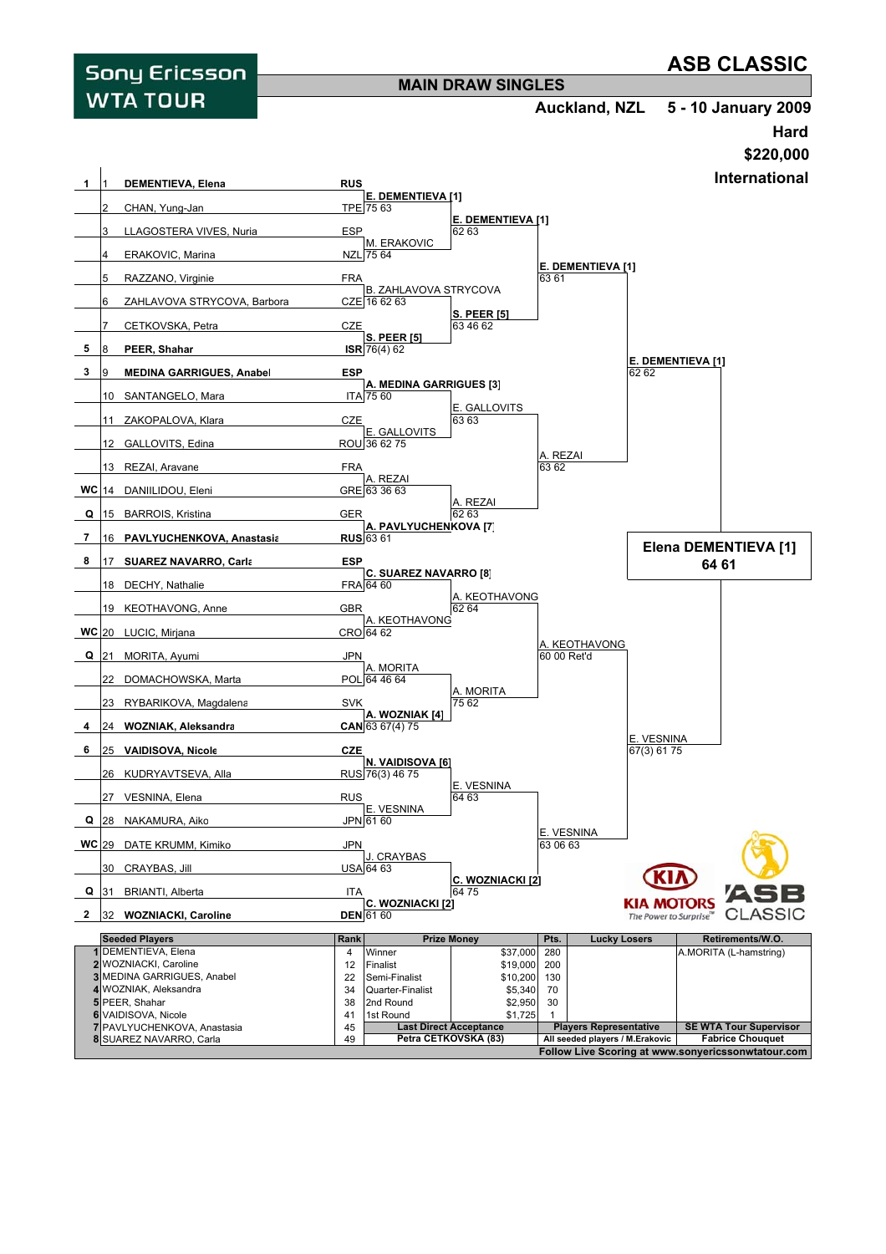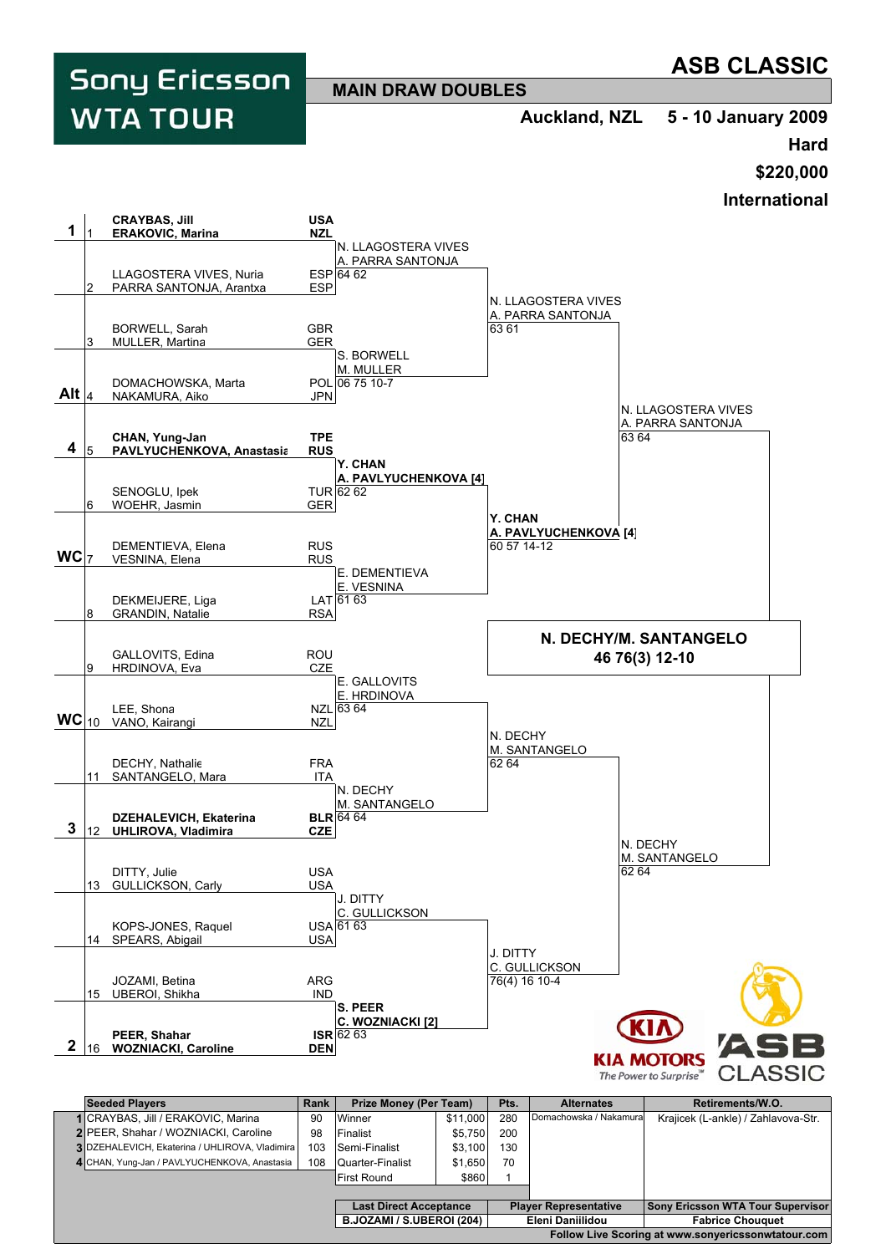**ASB CLASSIC Sony Ericsson MAIN DRAW DOUBLES WTA TOUR Auckland, NZL 5 - 10 January 2009 Hard \$220,000 International CRAYBAS, Jill USA 1 ERAKOVIC, Marina** N. LLAGOSTERA VIVES A. PARRA SANTONJA ESP 64 62 LLAGOSTERA VIVES, Nuria ESP<br>PARRA SANTONJA. Arantxa ESP PARRA SANTONJA, Arantxa N. LLAGOSTERA VIVES A. PARRA SANTONJA BORWELL, Sarah GBR<br>MULLER, Martina GER MULLER, Martina S. BORWELL M. MULLER DOMACHOWSKA, Marta POL 06 75 10-7 **Alt** NAKAMURA, Aiko JPN N. LLAGOSTERA VIVES A. PARRA SANTONJA **CHAN, Yung-Jan TPE** 63 64  **4 PAVLYUCHENKOVA, Anastasia Y. CHAN A. PAVLYUCHENKOVA [4]** SENOGLU, Ipek TUR<br>
WOEHR. Jasmin GER TUR 62 62 6 WOEHR, Jasmin **Y. CHAN A. PAVLYUCHENKOVA [4]** DEMENTIEVA, Elena RUS<br>
VESNINA, Elena RUS **WC** VESNINA, Elena E. DEMENTIEVA E. VESNINA LAT 61 63 DEKMEIJERE, Liga LAT 8 GRANDIN, Natalie **N. DECHY/M. SANTANGELO** GALLOVITS, Edina ROU<br>
HRDINOVA, Eva CZE **46 76(3) 12-10** HRDINOVA, Eva E. GALLOVITS E. HRDINOVA LEE, Shona<br>VANO, Kairangi NZL 63 64 **WC** 10 VANO, Kairangi NZL N. DECHY M. SANTANGELO DECHY, Nathalie FRA FRA 62 64 11 SANTANGELO, Mara ITA N. DECHY M. SANTANGELO **DZEHALEVICH, Ekaterina BLR BLR** 64 64  **3** 12 **UHLIROVA, Vladimira** N. DECHY M. SANTANGELO DITTY, Julie<br>GULLICKSON, Carly COULLICKSON, Carly 62 64 13 GULLICKSON, Carly J. DITTY C. GULLICKSON KOPS-JONES, Raquel USA 61 63

J. DITTY C. GULLICKSON JOZAMI, Betina ARG 76(4) 16 10-4 15 UBEROI, Shikha **S. PEER C. WOZNIACKI [2] PEER, Shahar ISR**<br> **WOZNIACKI, Caroline DEN ISR** 62 63  **2** 16 **WOZNIACKI**, Caroline **KIA MOTORS** CI The Power to Surprise **Seeded Players** Alternates | Retirements/W.O. **Rank** | Prize Money (Per Team) | Pts. Domachowska / Nakamura Krajicek (L-ankle) / Zahlavova-Str. **1** CRAYBAS, Jill / ERAKOVIC, Marina  $\begin{array}{|c|c|c|c|c|} \hline \end{array}$  90 | Winner  $\begin{array}{|c|c|c|c|c|} \hline \end{array}$  \$11,000 | 280 2|PEER, Shahar / WOZNIACKI, Caroline | 98 | Finalist | \$5,750 | 200 **3** DZEHALEVICH, Ekaterina / UHLIROVA, Vladimira | 103 | Semi-Finalist | \$3,100 | 130 4 CHAN, Yung-Jan / PAVLYUCHENKOVA, Anastasia | 108 | Quarter-Finalist | \$1,650 | 70

14 SPEARS, Abigail **USA** 

|                                                    | First Round                   | \$860 |                              |  |                                          |
|----------------------------------------------------|-------------------------------|-------|------------------------------|--|------------------------------------------|
|                                                    |                               |       |                              |  |                                          |
|                                                    | <b>Last Direct Acceptance</b> |       | <b>Player Representative</b> |  | <b>Sony Ericsson WTA Tour Supervisor</b> |
|                                                    | B.JOZAMI / S.UBEROI (204)     |       | Eleni Daniilidou             |  | <b>Fabrice Chouquet</b>                  |
| Follow Live Scoring at www.sonyericssonwtatour.com |                               |       |                              |  |                                          |